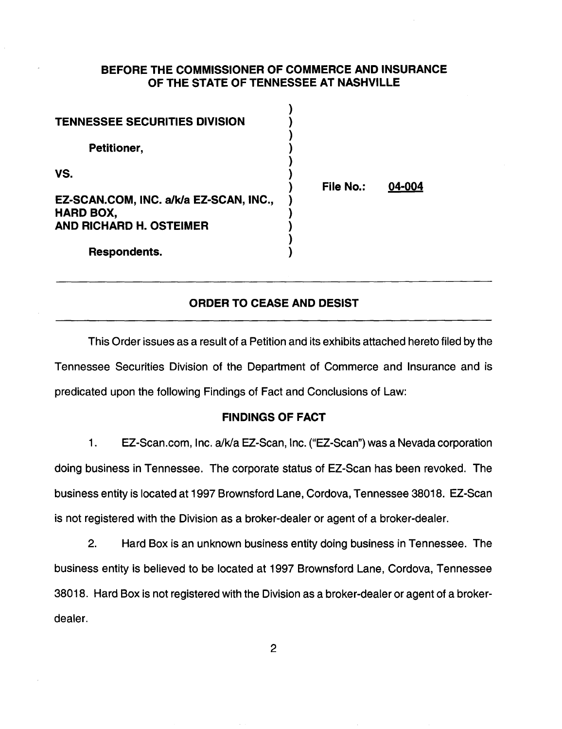## BEFORE THE COMMISSIONER OF COMMERCE AND INSURANCE OF THE STATE OF TENNESSEE AT NASHVILLE

 $\lambda$ 

| <b>TENNESSEE SECURITIES DIVISION</b>                              |                  |        |
|-------------------------------------------------------------------|------------------|--------|
| Petitioner,                                                       |                  |        |
| VS.<br>EZ-SCAN.COM, INC. a/k/a EZ-SCAN, INC.,<br><b>HARD BOX,</b> | <b>File No.:</b> | 04-004 |
| <b>AND RICHARD H. OSTEIMER</b>                                    |                  |        |
| Respondents.                                                      |                  |        |

# ORDER TO CEASE AND DESIST

This Order issues as a result of a Petition and its exhibits attached hereto filed by the Tennessee Securities Division of the Department of Commerce and Insurance and is predicated upon the following Findings of Fact and Conclusions of Law:

### FINDINGS OF FACT

1. EZ-Scan.com, Inc. a/k/a EZ-Scan, Inc. ("EZ-Scan") was a Nevada corporation doing business in Tennessee. The corporate status of EZ-Scan has been revoked. The business entity is located at 1997 Brownsford Lane, Cordova, Tennessee 38018. EZ-Scan is not registered with the Division as a broker-dealer or agent of a broker-dealer.

2. Hard Box is an unknown business entity doing business in Tennessee. The business entity is believed to be located at 1997 Brownsford Lane, Cordova, Tennessee 38018. Hard Box is not registered with the Division as a broker-dealer or agent of a brokerdealer.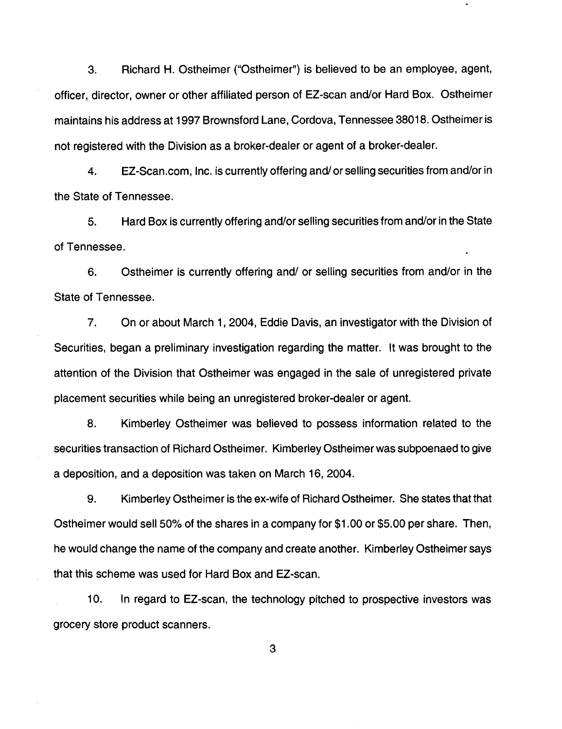3. Richard H. Ostheimer ("Ostheimer") is believed to be an employee, agent, officer, director, owner or other affiliated person of EZ-scan and/or Hard Box. Ostheimer maintains his address at 1997 Brownsford Lane, Cordova, Tennessee 38018. Ostheimer is not registered with the Division as a broker-dealer or agent of a broker-dealer.

4. EZ-Scan.com, Inc. is currently offering and/ or selling securities from and/or in the State of Tennessee.

5. Hard Box is currently offering and/or selling securities from and/or in the State of Tennessee.

6. Ostheimer is currently offering and/ or selling securities from and/or in the State of Tennessee.

7. On or about March 1, 2004, Eddie Davis, an investigator with the Division of Securities, began a preliminary investigation regarding the matter. It was brought to the attention of the Division that Ostheimer was engaged in the sale of unregistered private placement securities while being an unregistered broker-dealer or agent.

8. Kimberley Ostheimer was believed to possess information related to the securities transaction of Richard Ostheimer. Kimberley Ostheimer was subpoenaed to give a deposition, and a deposition was taken on March 16, 2004.

9. Kimberley Ostheimer is the ex-wife of Richard Ostheimer. She states that that Ostheimer would sell 50% of the shares in a company for \$1.00 or \$5.00 per share. Then, he would change the name of the company and create another. Kimberley Ostheimer says that this scheme was used for Hard Box and EZ-scan.

10. In regard to EZ-scan, the technology pitched to prospective investors was grocery store product scanners.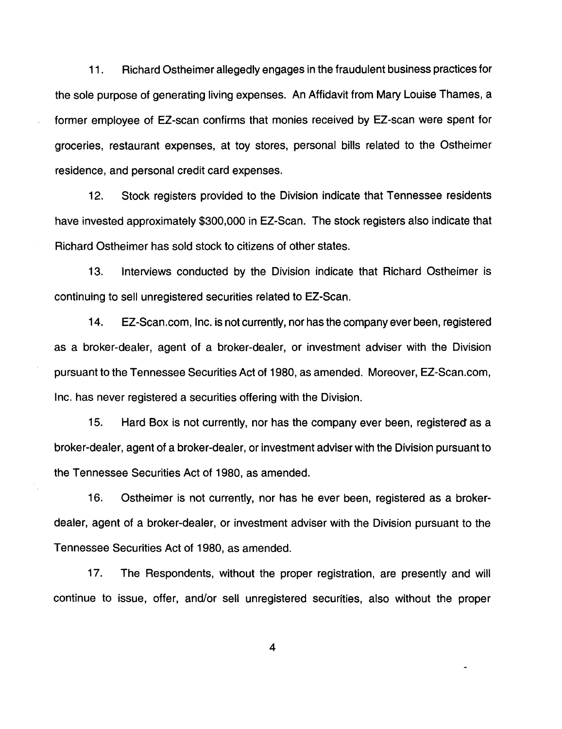11 . Richard Ostheimer allegedly engages in the fraudulent business practices for the sole purpose of generating living expenses. An Affidavit from Mary Louise Thames, a former employee of EZ-scan confirms that monies received by EZ-scan were spent for groceries, restaurant expenses, at toy stores, personal bills related to the Ostheimer residence, and personal credit card expenses.

12. Stock registers provided to the Division indicate that Tennessee residents have invested approximately \$300,000 in EZ-Scan. The stock registers also indicate that Richard Ostheimer has sold stock to citizens of other states.

13. Interviews conducted by the Division indicate that Richard Ostheimer is continuing to sell unregistered securities related to EZ-Scan.

14. EZ-Scan.com, Inc. is not currently, nor has the company ever been, registered as a broker-dealer, agent of a broker-dealer, or investment adviser with the Division pursuant to the Tennessee Securities Act of 1980, as amended. Moreover, EZ-Scan.com, Inc. has never registered a securities offering with the Division.

15. Hard Box is not currently, nor has the company ever been, registered as a broker-dealer, agent of a broker-dealer, or investment adviser with the Division pursuant to the Tennessee Securities Act of 1980, as amended.

16. Ostheimer is not currently, nor has he ever been, registered as a brokerdealer, agent of a broker-dealer, or investment adviser with the Division pursuant to the Tennessee Securities Act of 1980, as amended.

17. The Respondents, without the proper registration, are presently and will continue to issue, offer, and/or sell unregistered securities, also without the proper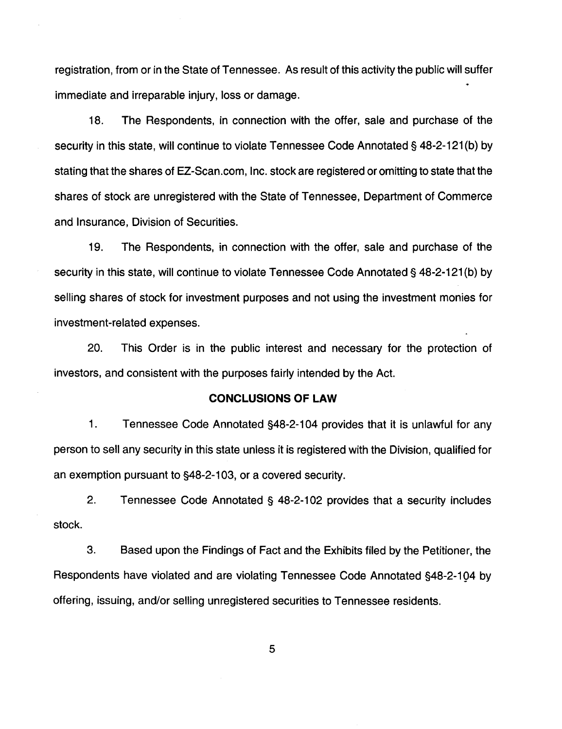registration, from or in the State of Tennessee. As result of this activity the public will suffer immediate and irreparable injury, loss or damage.

18. The Respondents, in connection with the offer, sale and purchase of the security in this state, will continue to violate Tennessee Code Annotated§ 48-2-121 (b) by stating that the shares of EZ -Scan .com, Inc. stock are registered or omitting to state that the shares of stock are unregistered with the State of Tennessee, Department of Commerce and Insurance, Division of Securities.

19. The Respondents, in connection with the offer, sale and purchase of the security in this state, will continue to violate Tennessee Code Annotated§ 48-2-121 (b) by selling shares of stock for investment purposes and not using the investment monies for investment-related expenses.

20. This Order is in the public interest and necessary for the protection of investors, and consistent with the purposes fairly intended by the Act.

#### **CONCLUSIONS OF LAW**

1. Tennessee Code Annotated §48-2-1 04 provides that it is unlawful for any person to sell any security in this state unless it is registered with the Division, qualified for an exemption pursuant to §48-2-1 03, or a covered security.

2. Tennessee Code Annotated § 48-2-102 provides that a security includes stock.

3. Based upon the Findings of Fact and the Exhibits filed by the Petitioner, the Respondents have violated and are violating Tennessee Code Annotated §48-2-194 by offering, issuing, and/or selling unregistered securities to Tennessee residents.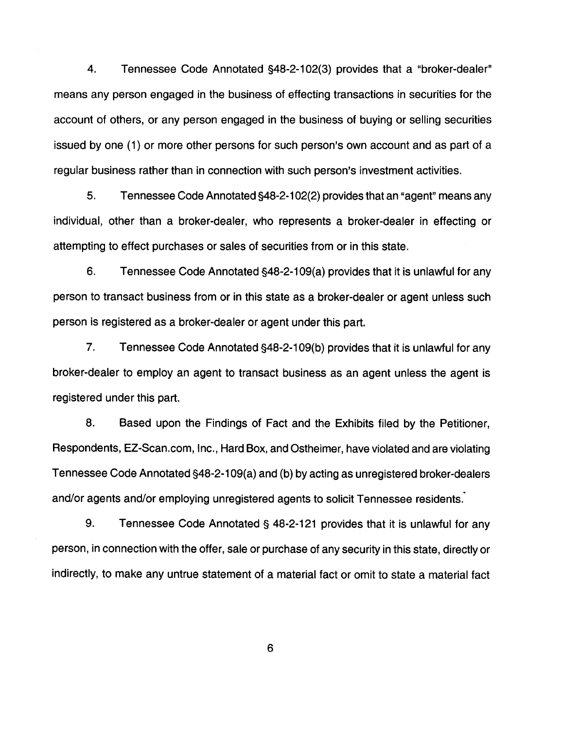4. Tennessee Code Annotated §48-2-102(3) provides that a "broker-dealer" means any person engaged in the business of effecting transactions in securities for the account of others, or any person engaged in the business of buying or selling securities issued by one (1) or more other persons for such person's own account and as part of a regular business rather than in connection with such person's investment activities.

5. Tennessee Code Annotated §48-2-1 02(2) provides that an "agent" means any individual, other than a broker-dealer, who represents a broker-dealer in effecting or attempting to effect purchases or sales of securities from or in this state.

6. Tennessee Code Annotated §48-2-109(a) provides that it is unlawful for any person to transact business from or in this state as a broker-dealer or agent unless such person is registered as a broker-dealer or agent under this part.

7. Tennessee Code Annotated §48-2-109(b) provides that it is unlawful for any broker-dealer to employ an agent to transact business as an agent unless the agent is registered under this part.

8. Based upon the Findings of Fact and the Exhibits filed by the Petitioner, Respondents, EZ-Scan.com, Inc., Hard Box, and Ostheimer, have violated and are violating Tennessee Code Annotated §48-2-1 09(a) and (b) by acting as unregistered broker-dealers and/or agents and/or employing unregistered agents to solicit Tennessee residents.

9. Tennessee Code Annotated§ 48-2-121 provides that it is unlawful for any person, in connection with the offer, sale or purchase of any security in this state, directly or indirectly, to make any untrue statement of a material fact or omit to state a material fact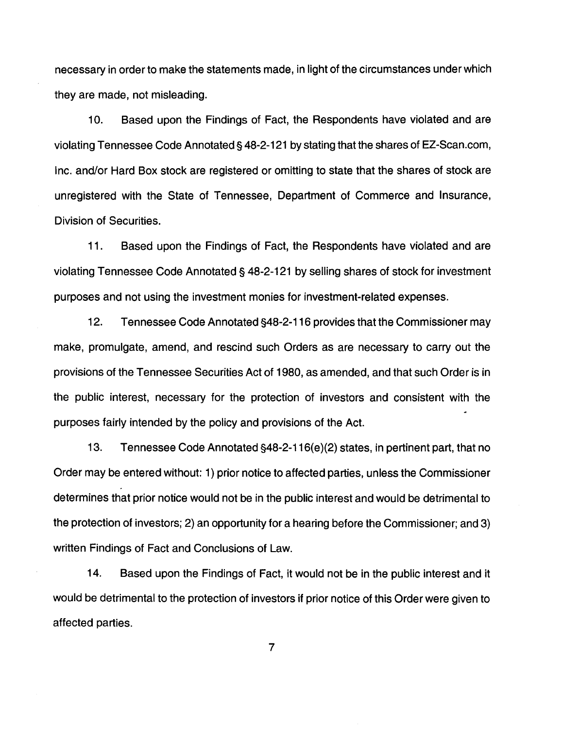necessary in order to make the statements made, in light of the circumstances under which they are made, not misleading.

10. Based upon the Findings of Fact, the Respondents have violated and are violating Tennessee Code Annotated§ 48-2-121 by stating that the shares of EZ-Scan.com, Inc. and/or Hard Box stock are registered or omitting to state that the shares of stock are unregistered with the State of Tennessee, Department of Commerce and Insurance, Division of Securities.

11. Based upon the Findings of Fact, the Respondents have violated and are violating Tennessee Code Annotated§ 48-2-121 by selling shares of stock for investment purposes and not using the investment monies for investment-related expenses.

12. Tennessee Code Annotated §48-2-116 provides that the Commissioner may make, promulgate, amend, and rescind such Orders as are necessary to carry out the provisions of the Tennessee Securities Act of 1980, as amended, and that such Order is in the public interest, necessary for the protection of investors and consistent with the purposes fairly intended by the policy and provisions of the Act.

13. Tennessee Code Annotated §48-2-116(e)(2) states, in pertinent part, that no Order may be entered without: 1) prior notice to affected parties, unless the Commissioner determines that prior notice would not be in the public interest and would be detrimental to the protection of investors; 2) an opportunity for a hearing before the Commissioner; and 3) written Findings of Fact and Conclusions of Law.

14. Based upon the Findings of Fact, it would not be in the public interest and it would be detrimental to the protection of investors if prior notice of this Order were given to affected parties.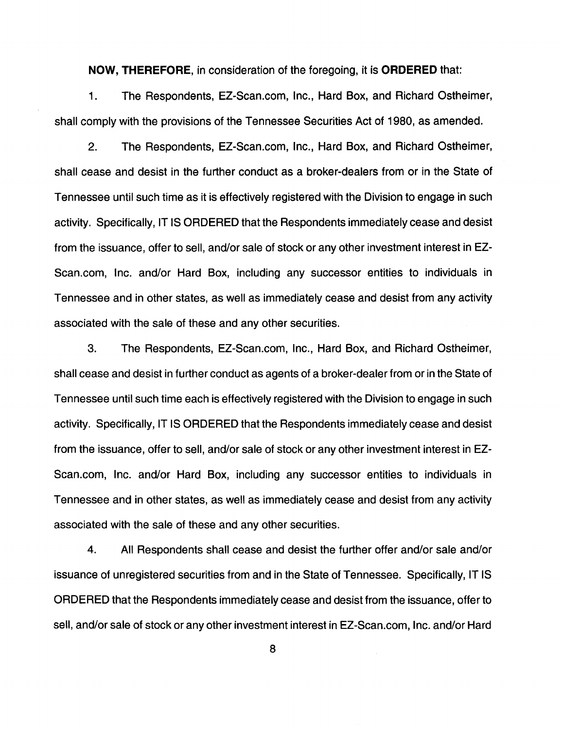**NOW, THEREFORE,** in consideration of the foregoing, it is **ORDERED** that:

1. The Respondents, EZ-Scan.com, Inc., Hard Box, and Richard Ostheimer, shall comply with the provisions of the Tennessee Securities Act of 1980, as amended.

2. The Respondents, EZ-Scan.com, Inc., Hard Box, and Richard Ostheimer, shall cease and desist in the further conduct as a broker-dealers from or in the State of Tennessee until such time as it is effectively registered with the Division to engage in such activity. Specifically, IT IS ORDERED that the Respondents immediately cease and desist from the issuance, offer to sell, and/or sale of stock or any other investment interest inEZ-Scan.com, Inc. and/or Hard Box, including any successor entities to individuals in Tennessee and in other states, as well as immediately cease and desist from any activity associated with the sale of these and any other securities.

3. The Respondents, EZ-Scan.com, Inc., Hard Box, and Richard Ostheimer, shall cease and desist in further conduct as agents of a broker-dealer from or in the State of Tennessee until such time each is effectively registered with the Division to engage in such activity. Specifically, IT IS ORDERED that the Respondents immediately cease and desist from the issuance, offer to sell, and/or sale of stock or any other investment interest inEZ-Scan.com, Inc. and/or Hard Box, including any successor entities to individuals in Tennessee and in other states, as well as immediately cease and desist from any activity associated with the sale of these and any other securities.

4. All Respondents shall cease and desist the further offer and/or sale and/or issuance of unregistered securities from and in the State of Tennessee. Specifically, IT IS ORDERED that the Respondents immediately cease and desist from the issuance, offer to sell, and/or sale of stock or any other investment interest in EZ-Scan.com, Inc. and/or Hard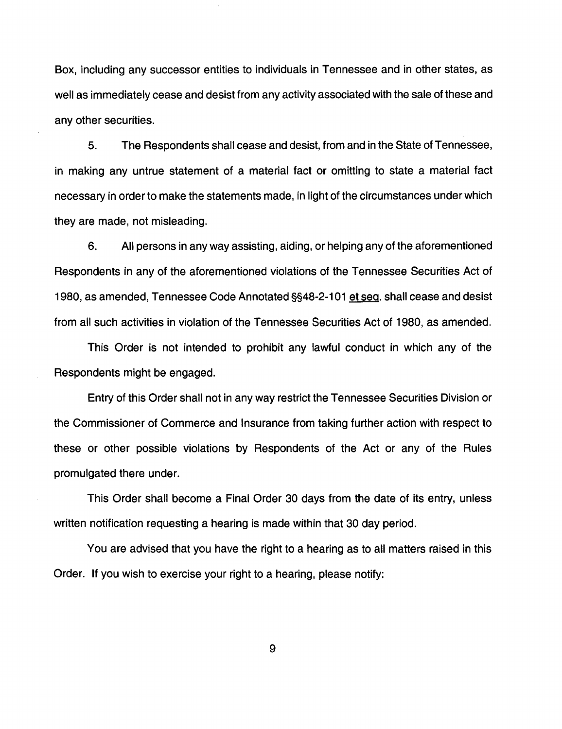Box, including any successor entities to individuals in Tennessee and in other states, as well as immediately cease and desist from any activity associated with the sale of these and any other securities.

5. The Respondents shall cease and desist, from and in the State of Tennessee, in making any untrue statement of a material fact or omitting to state a material fact necessary in order to make the statements made, in light of the circumstances under which they are made, not misleading.

6. All persons in any way assisting, aiding, or helping any of the aforementioned Respondents in any of the aforementioned violations of the Tennessee Securities Act of 1980, as amended, Tennessee Code Annotated §§48-2-1 01 et seq. shall cease and desist from all such activities in violation of the Tennessee Securities Act of 1980, as amended.

This Order is not intended to prohibit any lawful conduct in which any of the Respondents might be engaged.

Entry of this Order shall not in any way restrict the Tennessee Securities Division or the Commissioner of Commerce and Insurance from taking further action with respect to these or other possible violations by Respondents of the Act or any of the Rules promulgated there under.

This Order shall become a Final Order 30 days from the date of its entry, unless written notification requesting a hearing is made within that 30 day period.

You are advised that you have the right to a hearing as to all matters raised in this Order. If you wish to exercise your right to a hearing, please notify: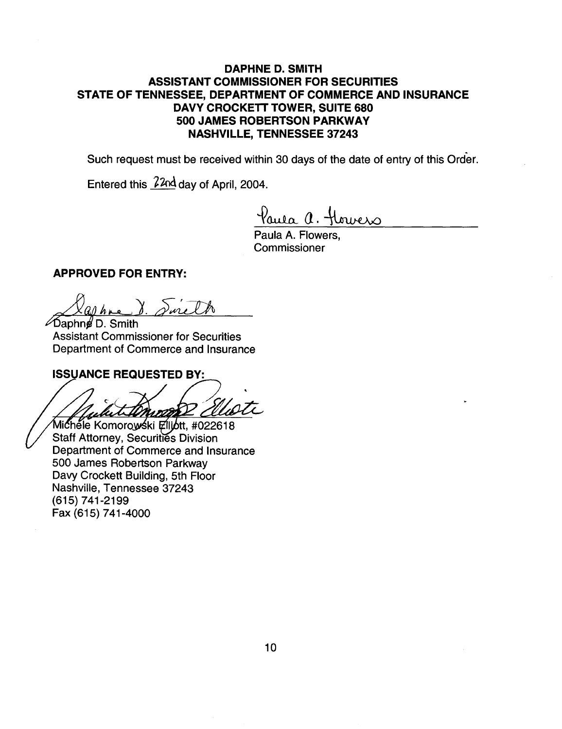# DAPHNE D. SMITH ASSISTANT COMMISSIONER FOR SECURITIES STATE OF TENNESSEE, DEPARTMENT OF COMMERCE AND INSURANCE DAVY CROCKETT TOWER, SUITE 680 500 JAMES ROBERTSON PARKWAY NASHVILLE, TENNESSEE 37243

Such request must be received within 30 days of the date of entry of this Order.

Entered this  $22nd$  day of April, 2004.

aula a. Howers

Paula A. Flowers, **Commissioner** 

## APPROVED FOR ENTRY:

**⊘Daphne D. Smith Assistant Commissioner for Securities** Department of Commerce and Insurance

#### **ISSUANCE REQUESTED BY:**

n 1022.

Michele Komorowski Elliott, #022618 Staff Attorney, Securities Division Department of Commerce and Insurance 500 James Robertson Parkway Davy Crockett Building, 5th Floor Nashville, Tennessee 37243 (615) 741-2199 Fax (615) 741-4000